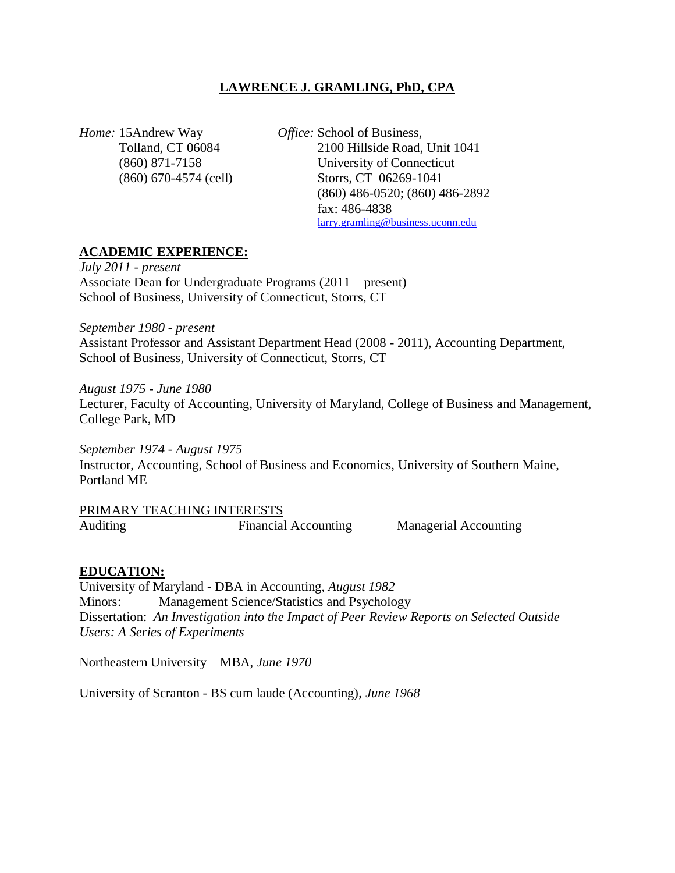#### **LAWRENCE J. GRAMLING, PhD, CPA**

*Home:* 15Andrew Way *Office:* School of Business,

Tolland, CT 06084 2100 Hillside Road, Unit 1041 (860) 871-7158 University of Connecticut (860) 670-4574 (cell) Storrs, CT 06269-1041 (860) 486-0520; (860) 486-2892 fax: 486-4838 larry.gramling@business.uconn.edu

#### **ACADEMIC EXPERIENCE:**

*July 2011 - present* Associate Dean for Undergraduate Programs (2011 – present) School of Business, University of Connecticut, Storrs, CT

*September 1980 - present* Assistant Professor and Assistant Department Head (2008 - 2011), Accounting Department, School of Business, University of Connecticut, Storrs, CT

*August 1975 - June 1980* Lecturer, Faculty of Accounting, University of Maryland, College of Business and Management, College Park, MD

*September 1974 - August 1975* Instructor, Accounting, School of Business and Economics, University of Southern Maine, Portland ME

PRIMARY TEACHING INTERESTS Auditing Financial Accounting Managerial Accounting

#### **EDUCATION:**

University of Maryland - DBA in Accounting, *August 1982* Minors: Management Science/Statistics and Psychology Dissertation: *An Investigation into the Impact of Peer Review Reports on Selected Outside Users: A Series of Experiments*

Northeastern University – MBA, *June 1970*

University of Scranton - BS cum laude (Accounting), *June 1968*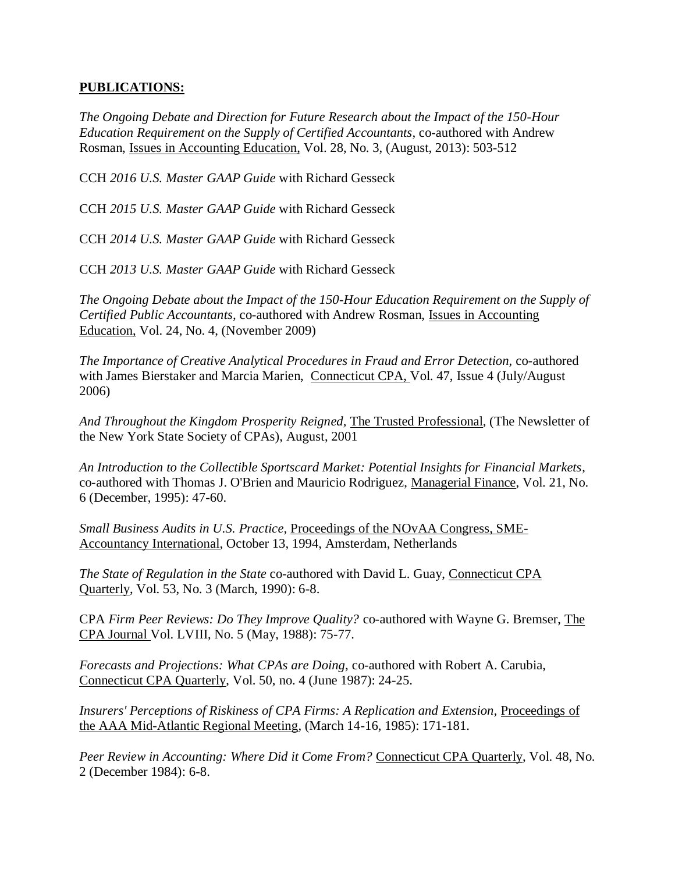#### **PUBLICATIONS:**

*The Ongoing Debate and Direction for Future Research about the Impact of the 150-Hour Education Requirement on the Supply of Certified Accountants,* co-authored with Andrew Rosman, Issues in Accounting Education, Vol. 28, No. 3, (August, 2013): 503-512

CCH *2016 U.S. Master GAAP Guide* with Richard Gesseck

CCH *2015 U.S. Master GAAP Guide* with Richard Gesseck

CCH *2014 U.S. Master GAAP Guide* with Richard Gesseck

CCH *2013 U.S. Master GAAP Guide* with Richard Gesseck

*The Ongoing Debate about the Impact of the 150-Hour Education Requirement on the Supply of Certified Public Accountants,* co-authored with Andrew Rosman, Issues in Accounting Education, Vol. 24, No. 4, (November 2009)

*The Importance of Creative Analytical Procedures in Fraud and Error Detection,* co-authored with James Bierstaker and Marcia Marien, Connecticut CPA, Vol. 47, Issue 4 (July/August 2006)

*And Throughout the Kingdom Prosperity Reigned,* The Trusted Professional, (The Newsletter of the New York State Society of CPAs), August, 2001

*An Introduction to the Collectible Sportscard Market: Potential Insights for Financial Markets*, co-authored with Thomas J. O'Brien and Mauricio Rodriguez, Managerial Finance, Vol. 21, No. 6 (December, 1995): 47-60.

*Small Business Audits in U.S. Practice,* Proceedings of the NOvAA Congress, SME-Accountancy International, October 13, 1994, Amsterdam, Netherlands

*The State of Regulation in the State* co-authored with David L. Guay, Connecticut CPA Quarterly, Vol. 53, No. 3 (March, 1990): 6-8.

CPA *Firm Peer Reviews: Do They Improve Quality?* co-authored with Wayne G. Bremser, The CPA Journal Vol. LVIII, No. 5 (May, 1988): 75-77.

*Forecasts and Projections: What CPAs are Doing,* co-authored with Robert A. Carubia, Connecticut CPA Quarterly, Vol. 50, no. 4 (June 1987): 24-25.

*Insurers' Perceptions of Riskiness of CPA Firms: A Replication and Extension,* Proceedings of the AAA Mid-Atlantic Regional Meeting, (March 14-16, 1985): 171-181.

*Peer Review in Accounting: Where Did it Come From?* Connecticut CPA Quarterly, Vol. 48, No. 2 (December 1984): 6-8.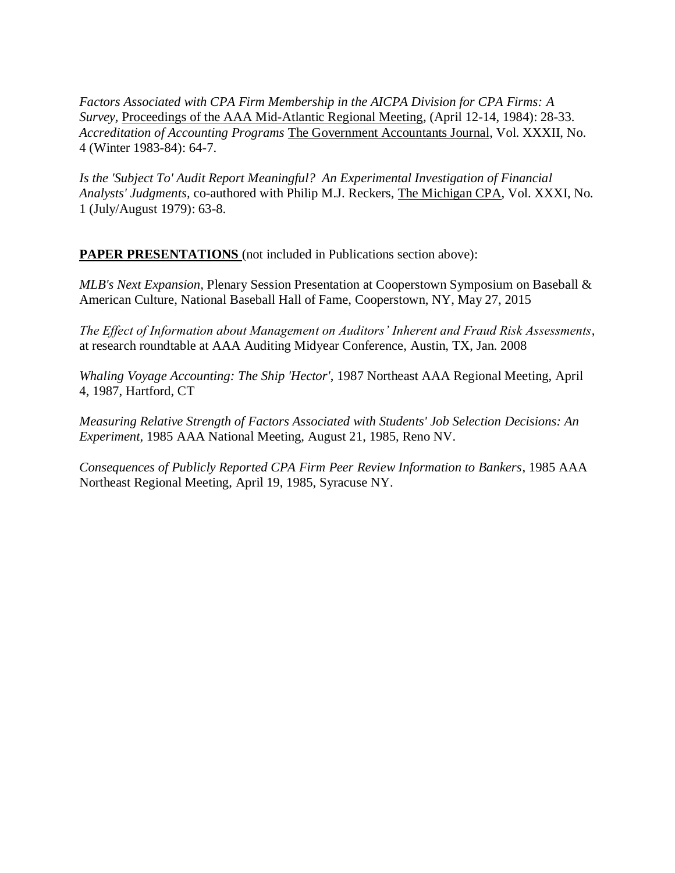*Factors Associated with CPA Firm Membership in the AICPA Division for CPA Firms: A Survey,* Proceedings of the AAA Mid-Atlantic Regional Meeting, (April 12-14, 1984): 28-33. *Accreditation of Accounting Programs* The Government Accountants Journal, Vol. XXXII, No. 4 (Winter 1983-84): 64-7.

*Is the 'Subject To' Audit Report Meaningful? An Experimental Investigation of Financial Analysts' Judgments,* co-authored with Philip M.J. Reckers, The Michigan CPA, Vol. XXXI, No. 1 (July/August 1979): 63-8.

**PAPER PRESENTATIONS** (not included in Publications section above):

*MLB's Next Expansion,* Plenary Session Presentation at Cooperstown Symposium on Baseball & American Culture, National Baseball Hall of Fame, Cooperstown, NY, May 27, 2015

*The Effect of Information about Management on Auditors' Inherent and Fraud Risk Assessments*, at research roundtable at AAA Auditing Midyear Conference, Austin, TX, Jan. 2008

*Whaling Voyage Accounting: The Ship 'Hector'*, 1987 Northeast AAA Regional Meeting, April 4, 1987, Hartford, CT

*Measuring Relative Strength of Factors Associated with Students' Job Selection Decisions: An Experiment,* 1985 AAA National Meeting, August 21, 1985, Reno NV.

*Consequences of Publicly Reported CPA Firm Peer Review Information to Bankers*, 1985 AAA Northeast Regional Meeting, April 19, 1985, Syracuse NY.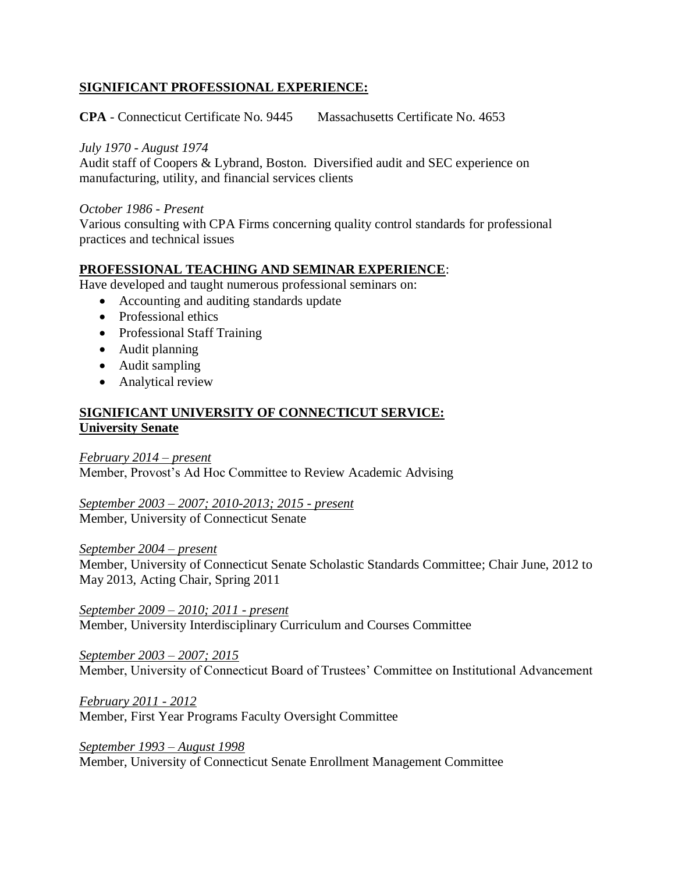## **SIGNIFICANT PROFESSIONAL EXPERIENCE:**

**CPA** - Connecticut Certificate No. 9445 Massachusetts Certificate No. 4653

#### *July 1970 - August 1974*

Audit staff of Coopers & Lybrand, Boston. Diversified audit and SEC experience on manufacturing, utility, and financial services clients

#### *October 1986 - Present*

Various consulting with CPA Firms concerning quality control standards for professional practices and technical issues

## **PROFESSIONAL TEACHING AND SEMINAR EXPERIENCE**:

Have developed and taught numerous professional seminars on:

- Accounting and auditing standards update
- Professional ethics
- Professional Staff Training
- Audit planning
- Audit sampling
- Analytical review

## **SIGNIFICANT UNIVERSITY OF CONNECTICUT SERVICE: University Senate**

*February 2014 – present*  Member, Provost's Ad Hoc Committee to Review Academic Advising

*September 2003 – 2007; 2010-2013; 2015 - present* Member, University of Connecticut Senate

#### *September 2004 – present*

Member, University of Connecticut Senate Scholastic Standards Committee; Chair June, 2012 to May 2013, Acting Chair, Spring 2011

*September 2009 – 2010; 2011 - present* Member, University Interdisciplinary Curriculum and Courses Committee

*September 2003 – 2007; 2015* Member, University of Connecticut Board of Trustees' Committee on Institutional Advancement

*February 2011 - 2012* Member, First Year Programs Faculty Oversight Committee

*September 1993 – August 1998* Member, University of Connecticut Senate Enrollment Management Committee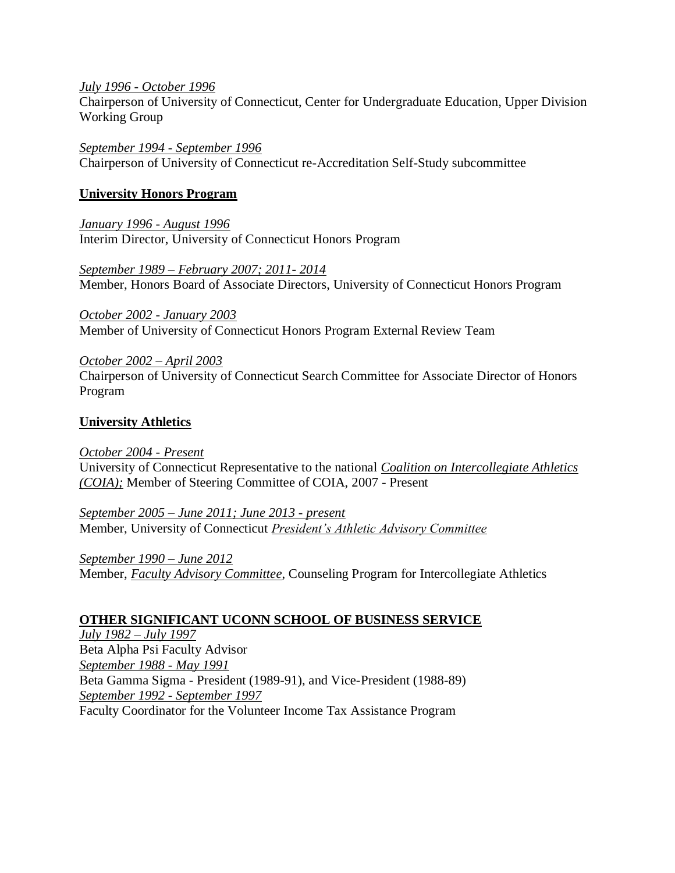#### *July 1996 - October 1996*

Chairperson of University of Connecticut, Center for Undergraduate Education, Upper Division Working Group

*September 1994 - September 1996* Chairperson of University of Connecticut re-Accreditation Self-Study subcommittee

#### **University Honors Program**

*January 1996 - August 1996* Interim Director, University of Connecticut Honors Program

*September 1989 – February 2007; 2011- 2014* Member, Honors Board of Associate Directors, University of Connecticut Honors Program

*October 2002 - January 2003* Member of University of Connecticut Honors Program External Review Team

*October 2002 – April 2003* Chairperson of University of Connecticut Search Committee for Associate Director of Honors Program

## **University Athletics**

*October 2004 - Present* University of Connecticut Representative to the national *Coalition on Intercollegiate Athletics (COIA);* Member of Steering Committee of COIA, 2007 - Present

*September 2005 – June 2011; June 2013 - present* Member, University of Connecticut *President's Athletic Advisory Committee*

*September 1990 – June 2012* Member, *Faculty Advisory Committee*, Counseling Program for Intercollegiate Athletics

## **OTHER SIGNIFICANT UCONN SCHOOL OF BUSINESS SERVICE**

*July 1982 – July 1997* Beta Alpha Psi Faculty Advisor *September 1988 - May 1991* Beta Gamma Sigma - President (1989-91), and Vice-President (1988-89) *September 1992 - September 1997* Faculty Coordinator for the Volunteer Income Tax Assistance Program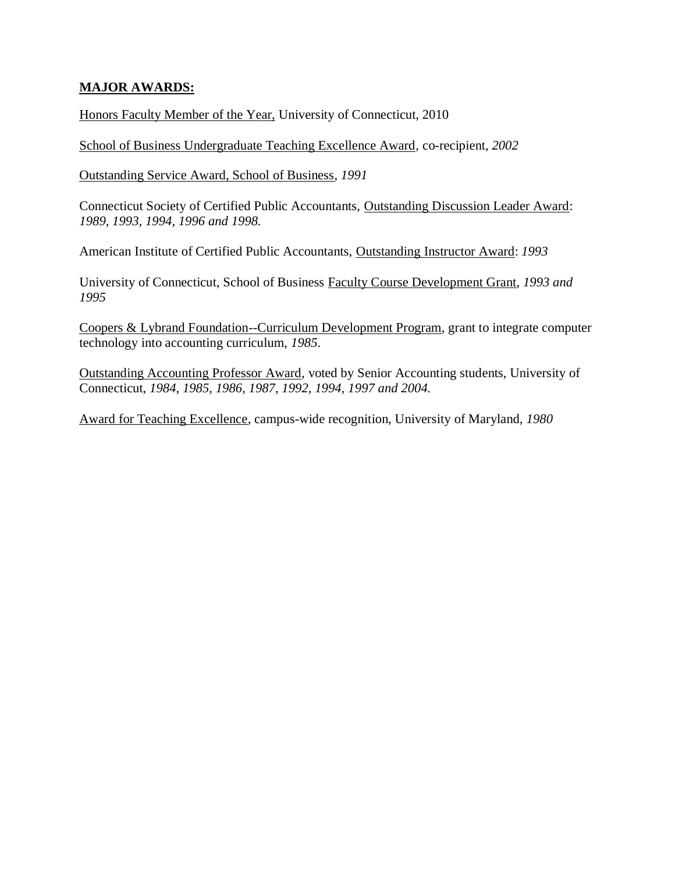## **MAJOR AWARDS:**

Honors Faculty Member of the Year, University of Connecticut, 2010

School of Business Undergraduate Teaching Excellence Award, co-recipient, *2002*

Outstanding Service Award, School of Business, *1991*

Connecticut Society of Certified Public Accountants, Outstanding Discussion Leader Award: *1989, 1993, 1994, 1996 and 1998.*

American Institute of Certified Public Accountants, Outstanding Instructor Award: *1993*

University of Connecticut, School of Business Faculty Course Development Grant, *1993 and 1995*

Coopers & Lybrand Foundation--Curriculum Development Program, grant to integrate computer technology into accounting curriculum, *1985*.

Outstanding Accounting Professor Award, voted by Senior Accounting students, University of Connecticut, *1984, 1985, 1986, 1987, 1992, 1994, 1997 and 2004.*

Award for Teaching Excellence, campus-wide recognition, University of Maryland, *1980*